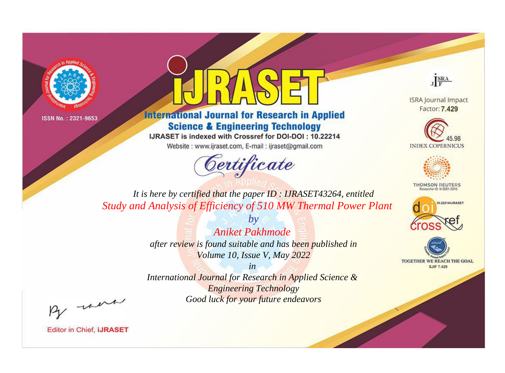



**International Journal for Research in Applied Science & Engineering Technology** 

IJRASET is indexed with Crossref for DOI-DOI: 10.22214

Website: www.ijraset.com, E-mail: ijraset@gmail.com



JERA

**ISRA Journal Impact** Factor: 7.429





**THOMSON REUTERS** 



TOGETHER WE REACH THE GOAL **SJIF 7.429** 

*It is here by certified that the paper ID : IJRASET43264, entitled Study and Analysis of Efficiency of 510 MW Thermal Power Plant*

> *by Aniket Pakhmode after review is found suitable and has been published in Volume 10, Issue V, May 2022*

> > *in*

*International Journal for Research in Applied Science & Engineering Technology Good luck for your future endeavors*

By morn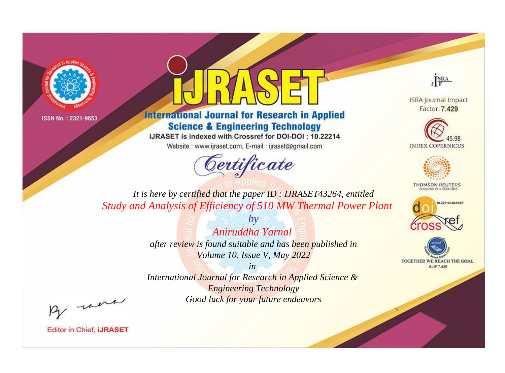



**International Journal for Research in Applied Science & Engineering Technology** 

IJRASET is indexed with Crossref for DOI-DOI: 10.22214

Website: www.ijraset.com, E-mail: ijraset@gmail.com



JERA

**ISRA Journal Impact** Factor: 7.429





**THOMSON REUTERS** 



TOGETHER WE REACH THE GOAL **SJIF 7.429** 

*It is here by certified that the paper ID : IJRASET43264, entitled Study and Analysis of Efficiency of 510 MW Thermal Power Plant*

> *by Aniruddha Yarnal after review is found suitable and has been published in Volume 10, Issue V, May 2022*

> > *in*

*International Journal for Research in Applied Science & Engineering Technology Good luck for your future endeavors*

By morn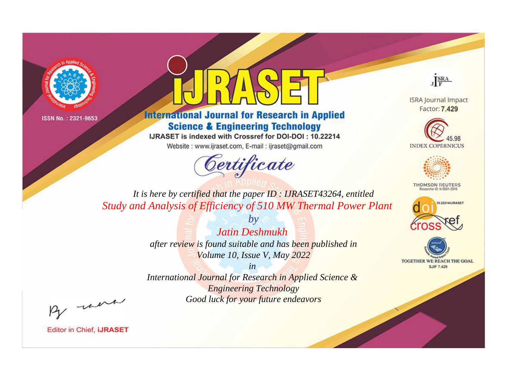



**International Journal for Research in Applied Science & Engineering Technology** 

IJRASET is indexed with Crossref for DOI-DOI: 10.22214

Website: www.ijraset.com, E-mail: ijraset@gmail.com



JERA

**ISRA Journal Impact** Factor: 7.429





**THOMSON REUTERS** 



TOGETHER WE REACH THE GOAL **SJIF 7.429** 

*It is here by certified that the paper ID : IJRASET43264, entitled Study and Analysis of Efficiency of 510 MW Thermal Power Plant*

> *Jatin Deshmukh after review is found suitable and has been published in Volume 10, Issue V, May 2022*

*by*

*in* 

*International Journal for Research in Applied Science & Engineering Technology Good luck for your future endeavors*

By morn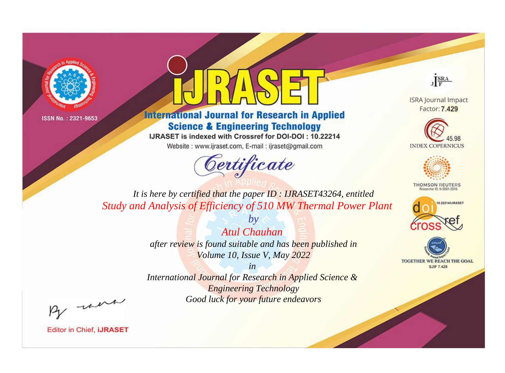



**International Journal for Research in Applied Science & Engineering Technology** 

IJRASET is indexed with Crossref for DOI-DOI: 10.22214

Website: www.ijraset.com, E-mail: ijraset@gmail.com



JERA

**ISRA Journal Impact** Factor: 7.429





**THOMSON REUTERS** 



TOGETHER WE REACH THE GOAL **SJIF 7.429** 

*It is here by certified that the paper ID : IJRASET43264, entitled Study and Analysis of Efficiency of 510 MW Thermal Power Plant*

> *by Atul Chauhan after review is found suitable and has been published in Volume 10, Issue V, May 2022*

> > *in*

*International Journal for Research in Applied Science & Engineering Technology Good luck for your future endeavors*

By morn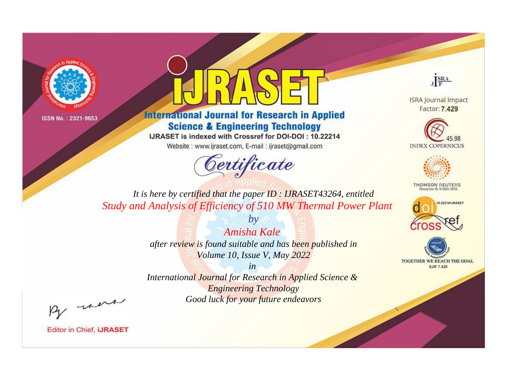



**International Journal for Research in Applied Science & Engineering Technology** 

IJRASET is indexed with Crossref for DOI-DOI: 10.22214

Website: www.ijraset.com, E-mail: ijraset@gmail.com



JERA

**ISRA Journal Impact** Factor: 7.429





**THOMSON REUTERS** 



TOGETHER WE REACH THE GOAL **SJIF 7.429** 

*It is here by certified that the paper ID : IJRASET43264, entitled Study and Analysis of Efficiency of 510 MW Thermal Power Plant*

> *Amisha Kale after review is found suitable and has been published in Volume 10, Issue V, May 2022*

*by*

*in* 

*International Journal for Research in Applied Science & Engineering Technology Good luck for your future endeavors*

By morn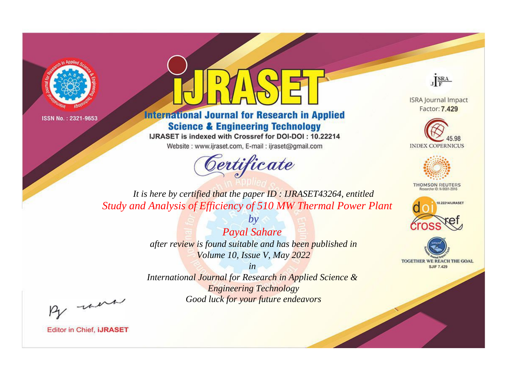



**International Journal for Research in Applied Science & Engineering Technology** 

IJRASET is indexed with Crossref for DOI-DOI: 10.22214

Website: www.ijraset.com, E-mail: ijraset@gmail.com



JERA

**ISRA Journal Impact** Factor: 7.429





**THOMSON REUTERS** 



TOGETHER WE REACH THE GOAL **SJIF 7.429** 

*It is here by certified that the paper ID : IJRASET43264, entitled Study and Analysis of Efficiency of 510 MW Thermal Power Plant*

> *by Payal Sahare after review is found suitable and has been published in Volume 10, Issue V, May 2022*

> > *in*

*International Journal for Research in Applied Science & Engineering Technology Good luck for your future endeavors*

By morn